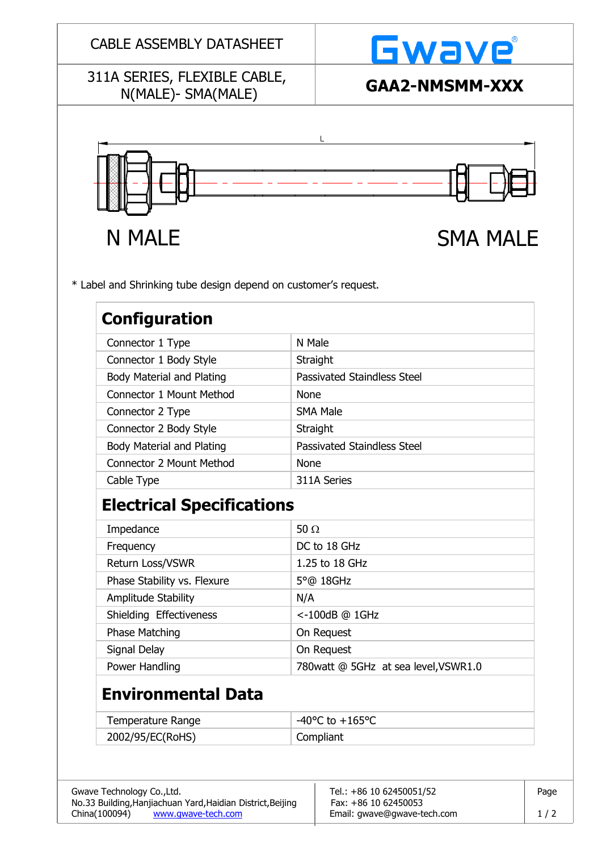#### CABLE ASSEMBLY DATASHEET

### 311A SERIES, FLEXIBLE CABLE, N(MALE)- SMA(MALE) **GAA2-NMSMM-XXX**



\* Label and Shrinking tube design depend on customer's request.

| Configuration             |                             |
|---------------------------|-----------------------------|
| Connector 1 Type          | N Male                      |
| Connector 1 Body Style    | Straight                    |
| Body Material and Plating | Passivated Staindless Steel |
| Connector 1 Mount Method  | <b>None</b>                 |
| Connector 2 Type          | <b>SMA Male</b>             |
| Connector 2 Body Style    | Straight                    |
| Body Material and Plating | Passivated Staindless Steel |
| Connector 2 Mount Method  | <b>None</b>                 |
| Cable Type                | 311A Series                 |
|                           |                             |

# **Electrical Specifications**

| Impedance                   | 50 $\Omega$                          |
|-----------------------------|--------------------------------------|
| Frequency                   | DC to 18 GHz                         |
| Return Loss/VSWR            | 1.25 to 18 GHz                       |
| Phase Stability vs. Flexure | $5^{\circ}$ @ 18GHz                  |
| Amplitude Stability         | N/A                                  |
| Shielding Effectiveness     | <-100dB @ 1GHz                       |
| <b>Phase Matching</b>       | On Request                           |
| Signal Delay                | On Request                           |
| Power Handling              | 780watt @ 5GHz at sea level, VSWR1.0 |

# **Environmental Data**

| Temperature Range | $-40^{\circ}$ C to $+165^{\circ}$ C |
|-------------------|-------------------------------------|
| 2002/95/EC(RoHS)  | Compliant                           |

| Gwave Technology Co., Ltd.                                  | Tel.: +86 10 62450051/52    | Page |
|-------------------------------------------------------------|-----------------------------|------|
| No.33 Building, Hanjiachuan Yard, Haidian District, Beijing | Fax: +86 10 62450053        |      |
| China (100094)<br>www.gwave-tech.com                        | Email: gwave@gwave-tech.com | 1/2  |